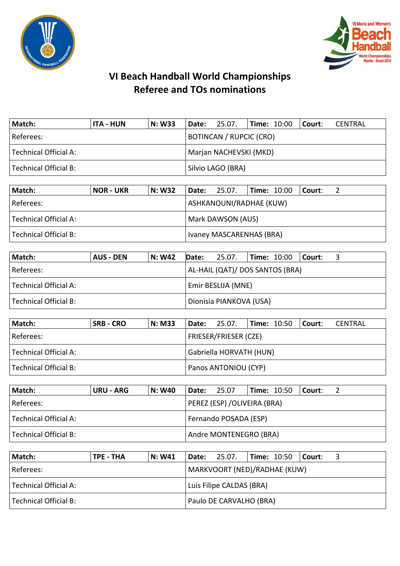



| Match:                       | <b>ITA - HUN</b> | <b>N: W33</b> | Date: | 25.07.                         | <b>Time: 10:00</b> | Court: | CENTRAL |  |  |
|------------------------------|------------------|---------------|-------|--------------------------------|--------------------|--------|---------|--|--|
| Referees:                    |                  |               |       | <b>BOTINCAN / RUPCIC (CRO)</b> |                    |        |         |  |  |
| <b>Technical Official A:</b> |                  |               |       | Marjan NACHEVSKI (MKD)         |                    |        |         |  |  |
| Technical Official B:        |                  |               |       | Silvio LAGO (BRA)              |                    |        |         |  |  |
|                              |                  |               |       |                                |                    |        |         |  |  |
| Match:                       | <b>NOR - UKR</b> | <b>N: W32</b> | Date: | 25.07.                         | <b>Time: 10:00</b> | Court: |         |  |  |
| Referees                     |                  |               |       | ASHKANOLINI/RADHAF (KLIM)      |                    |        |         |  |  |

| l Referees:           | ASHKANOUNI/RADHAE (KUW)    |
|-----------------------|----------------------------|
| Technical Official A: | Mark DAWSON (AUS)          |
| Technical Official B: | I Ivaney MASCARENHAS (BRA) |

| Match:                | AUS - DEN | N: W42 | Date:              | 25.07.                          | <b>Time: <math>10:00</math></b> |  | Court: |  |
|-----------------------|-----------|--------|--------------------|---------------------------------|---------------------------------|--|--------|--|
| l Referees:           |           |        |                    | AL-HAIL (QAT)/ DOS SANTOS (BRA) |                                 |  |        |  |
| Technical Official A: |           |        | Emir BESLIJA (MNE) |                                 |                                 |  |        |  |
| Technical Official B: |           |        |                    | Dionisia PIANKOVA (USA)         |                                 |  |        |  |

| Match:                | <b>SRB - CRO</b> | <b>N: M33</b> |                         | <b>Date: 25.07.</b>          | <b>Time: 10:50</b> |  | l Court: | CENTRAL |  |
|-----------------------|------------------|---------------|-------------------------|------------------------------|--------------------|--|----------|---------|--|
| Referees:             |                  |               |                         | <b>FRIESER/FRIESER (CZE)</b> |                    |  |          |         |  |
| Technical Official A: |                  |               | Gabriella HORVATH (HUN) |                              |                    |  |          |         |  |
| Technical Official B: |                  |               | Panos ANTONIOU (CYP)    |                              |                    |  |          |         |  |

| Match:                | URU - ARG | <b>N: W40</b> | Date:                  | 25.07                       | <b>Time: 10:50</b> |  | Court: |  |  |
|-----------------------|-----------|---------------|------------------------|-----------------------------|--------------------|--|--------|--|--|
| Referees:             |           |               |                        | PEREZ (ESP) /OLIVEIRA (BRA) |                    |  |        |  |  |
| Technical Official A: |           |               | Fernando POSADA (ESP)  |                             |                    |  |        |  |  |
| Technical Official B: |           |               | Andre MONTENEGRO (BRA) |                             |                    |  |        |  |  |

| Match:                | TPE - THA                | N: W41 |  | $ $ Date: 25.07.             |  |  | $\vert$ Time: 10:50 $\vert$ Court: |  |
|-----------------------|--------------------------|--------|--|------------------------------|--|--|------------------------------------|--|
| Referees:             |                          |        |  | MARKVOORT (NED)/RADHAE (KUW) |  |  |                                    |  |
| Technical Official A: | Luis Filipe CALDAS (BRA) |        |  |                              |  |  |                                    |  |
| Technical Official B: |                          |        |  | Paulo DE CARVALHO (BRA)      |  |  |                                    |  |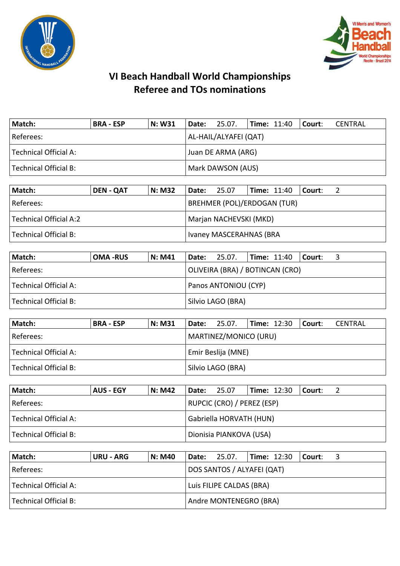



| Match:                | <b>BRA - ESP</b> | <b>N: W31</b> | Date: | 25.07.                | <b>Time: 11:40</b> | Court: | <b>CENTRAL</b> |  |  |  |
|-----------------------|------------------|---------------|-------|-----------------------|--------------------|--------|----------------|--|--|--|
| Referees:             |                  |               |       | AL-HAIL/ALYAFEI (QAT) |                    |        |                |  |  |  |
| Technical Official A: |                  |               |       | Juan DE ARMA (ARG)    |                    |        |                |  |  |  |
| Technical Official B: |                  |               |       | Mark DAWSON (AUS)     |                    |        |                |  |  |  |
|                       |                  |               |       |                       |                    |        |                |  |  |  |
| Match:                | <b>DEN - QAT</b> | <b>N: M32</b> | Date: | 25.07                 | <b>Time: 11:40</b> | Court: |                |  |  |  |

| IVIALLII.                    | <b>PLIV-VAL</b> | IV. IVIJ <i>l</i> | Dalc.                              | 29.UT                   | IIIII LI. TU | CUUIL. |  |  |
|------------------------------|-----------------|-------------------|------------------------------------|-------------------------|--------------|--------|--|--|
| Referees:                    |                 |                   | <b>BREHMER (POL)/ERDOGAN (TUR)</b> |                         |              |        |  |  |
| Technical Official A:2       |                 |                   | Marjan NACHEVSKI (MKD)             |                         |              |        |  |  |
| <b>Technical Official B:</b> |                 |                   |                                    | Ivaney MASCERAHNAS (BRA |              |        |  |  |

| Match:                | <b>OMA-RUS</b> | <b>N: M41</b> | Date: 25.07.                    | $\vert$ Time: 11:40 $\vert$ Court: |  |
|-----------------------|----------------|---------------|---------------------------------|------------------------------------|--|
| Referees:             |                |               | OLIVEIRA (BRA) / BOTINCAN (CRO) |                                    |  |
| Technical Official A: |                |               | Panos ANTONIOU (CYP)            |                                    |  |
| Technical Official B: |                |               | Silvio LAGO (BRA)               |                                    |  |

| Match:                | <b>BRA - ESP</b> | N: M31 | Date:              | 25.07.                | $\textsf{Time: } 12:30$ |  | Court: | CENTRAL |  |
|-----------------------|------------------|--------|--------------------|-----------------------|-------------------------|--|--------|---------|--|
| l Referees:           |                  |        |                    | MARTINEZ/MONICO (URU) |                         |  |        |         |  |
| Technical Official A: |                  |        | Emir Beslija (MNE) |                       |                         |  |        |         |  |
| Technical Official B: |                  |        |                    | Silvio LAGO (BRA)     |                         |  |        |         |  |

| Match:                | <b>AUS - EGY</b> | <b>N: M42</b> | Date:                   | 25.07                      | <b>Time: 12:30</b> |  | l Court: l |  |
|-----------------------|------------------|---------------|-------------------------|----------------------------|--------------------|--|------------|--|
| l Referees:           |                  |               |                         | RUPCIC (CRO) / PEREZ (ESP) |                    |  |            |  |
| Technical Official A: |                  |               | Gabriella HORVATH (HUN) |                            |                    |  |            |  |
| Technical Official B: |                  |               |                         | Dionisia PIANKOVA (USA)    |                    |  |            |  |

| Match:                | URU - ARG                | N: M40 |                        | <b>Date:</b> 25.07.        |  |  | $\vert$ Time: 12:30 $\vert$ Court: |  |
|-----------------------|--------------------------|--------|------------------------|----------------------------|--|--|------------------------------------|--|
| Referees:             |                          |        |                        | DOS SANTOS / ALYAFEI (QAT) |  |  |                                    |  |
| Technical Official A: | Luis FILIPE CALDAS (BRA) |        |                        |                            |  |  |                                    |  |
| Technical Official B: |                          |        | Andre MONTENEGRO (BRA) |                            |  |  |                                    |  |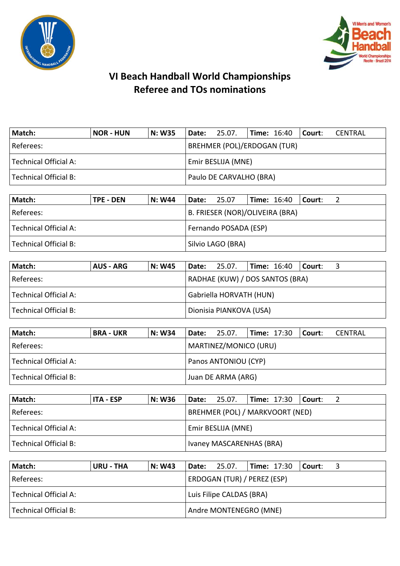



| Match:                | <b>NOR - HUN</b> | <b>N: W35</b> | Date:                              | 25.07. |  | $\blacksquare$ Time: 16:40 $\blacksquare$ Court: |  | CENTRAL |  |
|-----------------------|------------------|---------------|------------------------------------|--------|--|--------------------------------------------------|--|---------|--|
| Referees:             |                  |               | <b>BREHMER (POL)/ERDOGAN (TUR)</b> |        |  |                                                  |  |         |  |
| Technical Official A: |                  |               | Emir BESLIJA (MNE)                 |        |  |                                                  |  |         |  |
| Technical Official B: |                  |               | Paulo DE CARVALHO (BRA)            |        |  |                                                  |  |         |  |

| Match:                | <b>TPE - DEN</b> | N: W44 | Date:                 | 25.07                           |  | $\vert$ Time: 16:40 $\vert$ Court: |  |  |  |  |
|-----------------------|------------------|--------|-----------------------|---------------------------------|--|------------------------------------|--|--|--|--|
| Referees:             |                  |        |                       | B. FRIESER (NOR)/OLIVEIRA (BRA) |  |                                    |  |  |  |  |
| Technical Official A: |                  |        | Fernando POSADA (ESP) |                                 |  |                                    |  |  |  |  |
| Technical Official B: |                  |        |                       | Silvio LAGO (BRA)               |  |                                    |  |  |  |  |

| Match:                | AUS - ARG | N: W45 | Date: 25.07.            |                                 |  | <b>Time:</b> 16:40 | l Court: |  |  |  |
|-----------------------|-----------|--------|-------------------------|---------------------------------|--|--------------------|----------|--|--|--|
| Referees:             |           |        |                         | RADHAE (KUW) / DOS SANTOS (BRA) |  |                    |          |  |  |  |
| Technical Official A: |           |        | Gabriella HORVATH (HUN) |                                 |  |                    |          |  |  |  |
| Technical Official B: |           |        |                         | Dionisia PIANKOVA (USA)         |  |                    |          |  |  |  |

| Match:                | <b>BRA - UKR</b> | N: W34 | Date: 25.07.         |                       |  |  | $\vert$ Time: 17:30 $\vert$ Court: | CENTRAL |  |  |
|-----------------------|------------------|--------|----------------------|-----------------------|--|--|------------------------------------|---------|--|--|
| Referees:             |                  |        |                      | MARTINEZ/MONICO (URU) |  |  |                                    |         |  |  |
| Technical Official A: |                  |        | Panos ANTONIOU (CYP) |                       |  |  |                                    |         |  |  |
| Technical Official B: |                  |        | Juan DE ARMA (ARG)   |                       |  |  |                                    |         |  |  |

| Match:                | ITA - ESP | <b>N: W36</b> |                           | <b>Date:</b> 25.07.             |  | $\blacksquare$ Time: 17:30 $\blacksquare$ Court: |  |  |  |  |
|-----------------------|-----------|---------------|---------------------------|---------------------------------|--|--------------------------------------------------|--|--|--|--|
| Referees:             |           |               |                           | BREHMER (POL) / MARKVOORT (NED) |  |                                                  |  |  |  |  |
| Technical Official A: |           |               | <b>Emir BESLIJA (MNE)</b> |                                 |  |                                                  |  |  |  |  |
| Technical Official B: |           |               |                           | Ivaney MASCARENHAS (BRA)        |  |                                                  |  |  |  |  |

| Match:                | <b>URU - THA</b> | <b>N: W43</b> |                             | $\vert$ Date: 25.07. | $\textsf{Time: } 17:30$ Court: |  |  |  |  |  |
|-----------------------|------------------|---------------|-----------------------------|----------------------|--------------------------------|--|--|--|--|--|
| Referees:             |                  |               | ERDOGAN (TUR) / PEREZ (ESP) |                      |                                |  |  |  |  |  |
| Technical Official A: |                  |               | Luis Filipe CALDAS (BRA)    |                      |                                |  |  |  |  |  |
| Technical Official B: |                  |               | Andre MONTENEGRO (MNE)      |                      |                                |  |  |  |  |  |